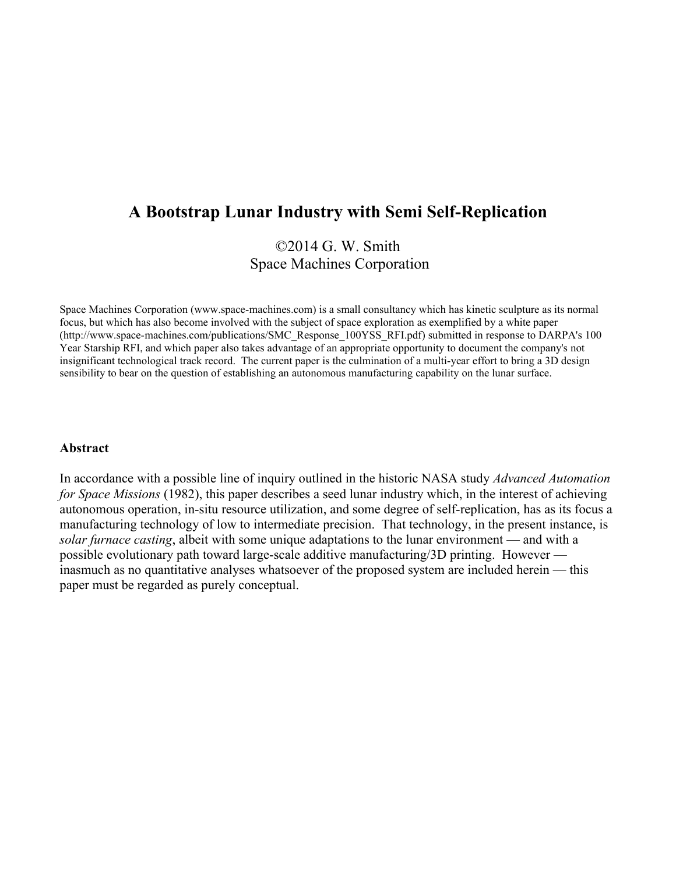# **A Bootstrap Lunar Industry with Semi Self-Replication**

## ©2014 G. W. Smith Space Machines Corporation

Space Machines Corporation (www.space-machines.com) is a small consultancy which has kinetic sculpture as its normal focus, but which has also become involved with the subject of space exploration as exemplified by a white paper (http://www.space-machines.com/publications/SMC\_Response\_100YSS\_RFI.pdf) submitted in response to DARPA's 100 Year Starship RFI, and which paper also takes advantage of an appropriate opportunity to document the company's not insignificant technological track record. The current paper is the culmination of a multi-year effort to bring a 3D design sensibility to bear on the question of establishing an autonomous manufacturing capability on the lunar surface.

#### **Abstract**

In accordance with a possible line of inquiry outlined in the historic NASA study *Advanced Automation for Space Missions* (1982), this paper describes a seed lunar industry which, in the interest of achieving autonomous operation, in-situ resource utilization, and some degree of self-replication, has as its focus a manufacturing technology of low to intermediate precision. That technology, in the present instance, is *solar furnace casting*, albeit with some unique adaptations to the lunar environment — and with a possible evolutionary path toward large-scale additive manufacturing/3D printing. However inasmuch as no quantitative analyses whatsoever of the proposed system are included herein — this paper must be regarded as purely conceptual.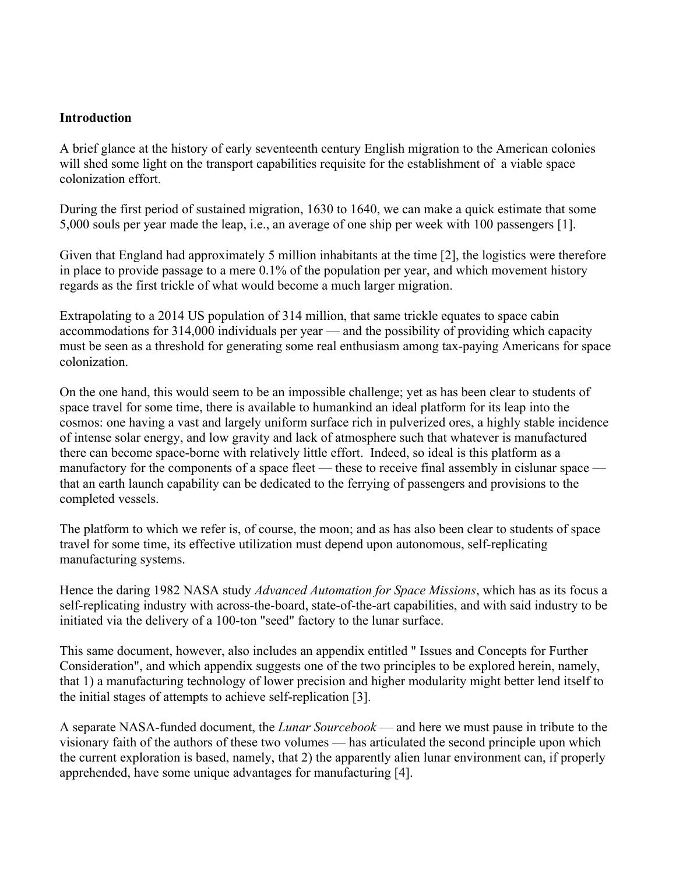#### **Introduction**

A brief glance at the history of early seventeenth century English migration to the American colonies will shed some light on the transport capabilities requisite for the establishment of a viable space colonization effort.

During the first period of sustained migration, 1630 to 1640, we can make a quick estimate that some 5,000 souls per year made the leap, i.e., an average of one ship per week with 100 passengers [1].

Given that England had approximately 5 million inhabitants at the time [2], the logistics were therefore in place to provide passage to a mere 0.1% of the population per year, and which movement history regards as the first trickle of what would become a much larger migration.

Extrapolating to a 2014 US population of 314 million, that same trickle equates to space cabin accommodations for 314,000 individuals per year — and the possibility of providing which capacity must be seen as a threshold for generating some real enthusiasm among tax-paying Americans for space colonization.

On the one hand, this would seem to be an impossible challenge; yet as has been clear to students of space travel for some time, there is available to humankind an ideal platform for its leap into the cosmos: one having a vast and largely uniform surface rich in pulverized ores, a highly stable incidence of intense solar energy, and low gravity and lack of atmosphere such that whatever is manufactured there can become space-borne with relatively little effort. Indeed, so ideal is this platform as a manufactory for the components of a space fleet — these to receive final assembly in cislunar space that an earth launch capability can be dedicated to the ferrying of passengers and provisions to the completed vessels.

The platform to which we refer is, of course, the moon; and as has also been clear to students of space travel for some time, its effective utilization must depend upon autonomous, self-replicating manufacturing systems.

Hence the daring 1982 NASA study *Advanced Automation for Space Missions*, which has as its focus a self-replicating industry with across-the-board, state-of-the-art capabilities, and with said industry to be initiated via the delivery of a 100-ton "seed" factory to the lunar surface.

This same document, however, also includes an appendix entitled " Issues and Concepts for Further Consideration", and which appendix suggests one of the two principles to be explored herein, namely, that 1) a manufacturing technology of lower precision and higher modularity might better lend itself to the initial stages of attempts to achieve self-replication [3].

A separate NASA-funded document, the *Lunar Sourcebook* — and here we must pause in tribute to the visionary faith of the authors of these two volumes — has articulated the second principle upon which the current exploration is based, namely, that 2) the apparently alien lunar environment can, if properly apprehended, have some unique advantages for manufacturing [4].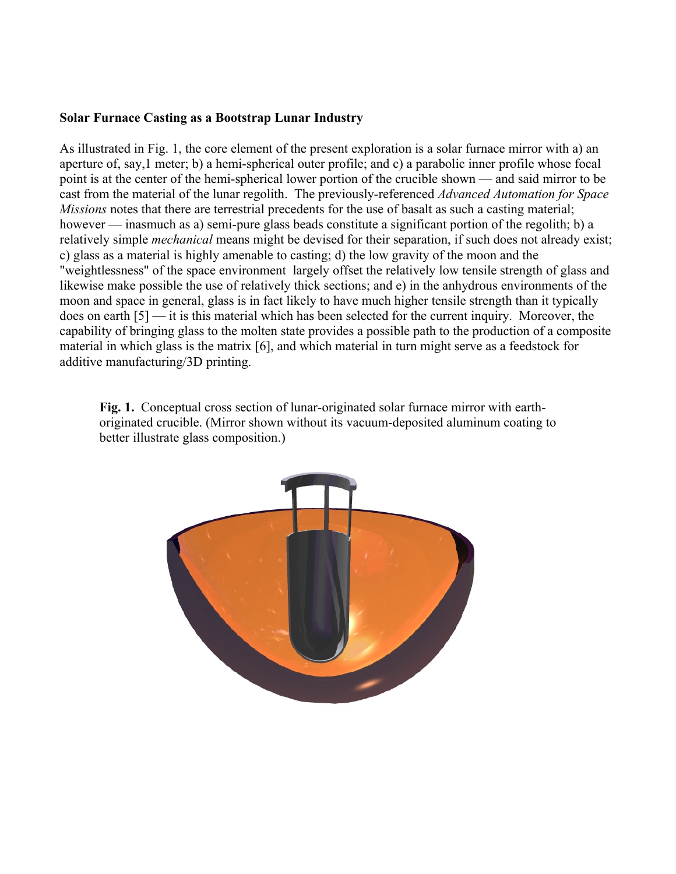#### **Solar Furnace Casting as a Bootstrap Lunar Industry**

As illustrated in Fig. 1, the core element of the present exploration is a solar furnace mirror with a) an aperture of, say,1 meter; b) a hemi-spherical outer profile; and c) a parabolic inner profile whose focal point is at the center of the hemi-spherical lower portion of the crucible shown — and said mirror to be cast from the material of the lunar regolith. The previously-referenced *Advanced Automation for Space Missions* notes that there are terrestrial precedents for the use of basalt as such a casting material; however — inasmuch as a) semi-pure glass beads constitute a significant portion of the regolith; b) a relatively simple *mechanical* means might be devised for their separation, if such does not already exist; c) glass as a material is highly amenable to casting; d) the low gravity of the moon and the "weightlessness" of the space environment largely offset the relatively low tensile strength of glass and likewise make possible the use of relatively thick sections; and e) in the anhydrous environments of the moon and space in general, glass is in fact likely to have much higher tensile strength than it typically does on earth [5] — it is this material which has been selected for the current inquiry. Moreover, the capability of bringing glass to the molten state provides a possible path to the production of a composite material in which glass is the matrix [6], and which material in turn might serve as a feedstock for additive manufacturing/3D printing.

**Fig. 1.** Conceptual cross section of lunar-originated solar furnace mirror with earthoriginated crucible. (Mirror shown without its vacuum-deposited aluminum coating to better illustrate glass composition.)

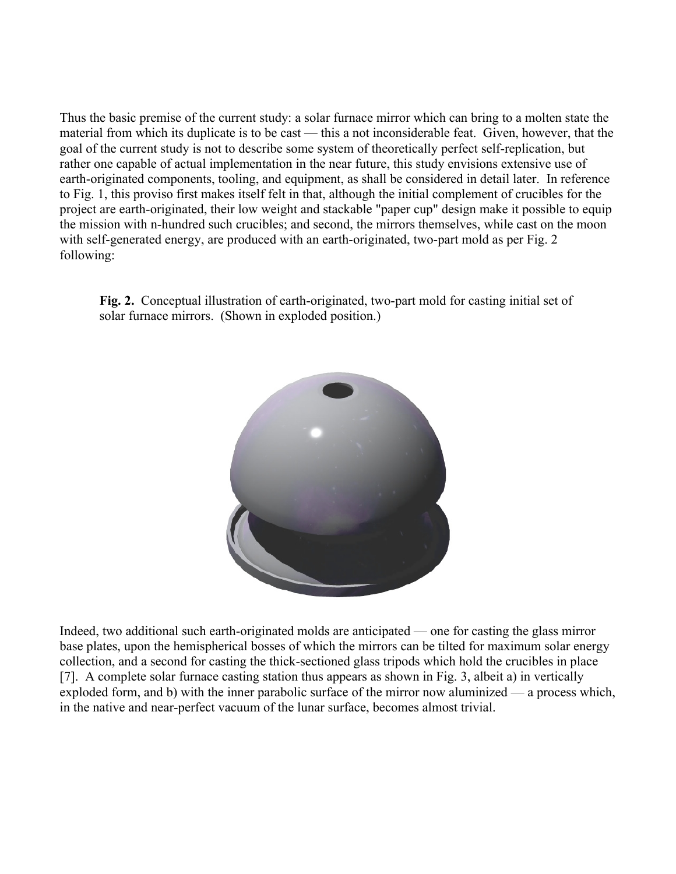Thus the basic premise of the current study: a solar furnace mirror which can bring to a molten state the material from which its duplicate is to be cast — this a not inconsiderable feat. Given, however, that the goal of the current study is not to describe some system of theoretically perfect self-replication, but rather one capable of actual implementation in the near future, this study envisions extensive use of earth-originated components, tooling, and equipment, as shall be considered in detail later. In reference to Fig. 1, this proviso first makes itself felt in that, although the initial complement of crucibles for the project are earth-originated, their low weight and stackable "paper cup" design make it possible to equip the mission with n-hundred such crucibles; and second, the mirrors themselves, while cast on the moon with self-generated energy, are produced with an earth-originated, two-part mold as per Fig. 2 following:

**Fig. 2.** Conceptual illustration of earth-originated, two-part mold for casting initial set of solar furnace mirrors. (Shown in exploded position.)



Indeed, two additional such earth-originated molds are anticipated — one for casting the glass mirror base plates, upon the hemispherical bosses of which the mirrors can be tilted for maximum solar energy collection, and a second for casting the thick-sectioned glass tripods which hold the crucibles in place [7]. A complete solar furnace casting station thus appears as shown in Fig. 3, albeit a) in vertically exploded form, and b) with the inner parabolic surface of the mirror now aluminized — a process which, in the native and near-perfect vacuum of the lunar surface, becomes almost trivial.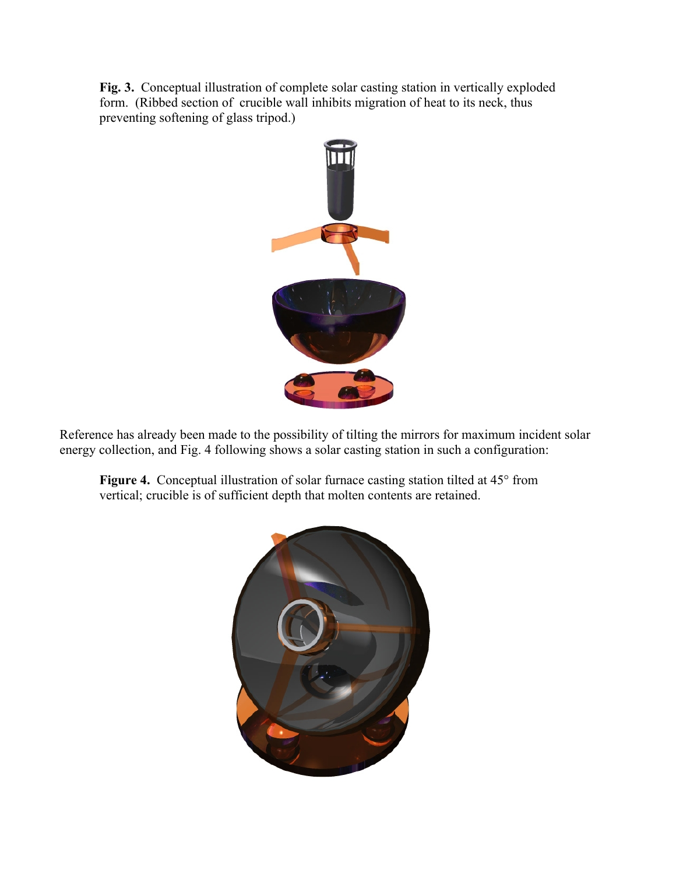**Fig. 3.** Conceptual illustration of complete solar casting station in vertically exploded form. (Ribbed section of crucible wall inhibits migration of heat to its neck, thus preventing softening of glass tripod.)



Reference has already been made to the possibility of tilting the mirrors for maximum incident solar energy collection, and Fig. 4 following shows a solar casting station in such a configuration:

**Figure 4.** Conceptual illustration of solar furnace casting station tilted at 45° from vertical; crucible is of sufficient depth that molten contents are retained.

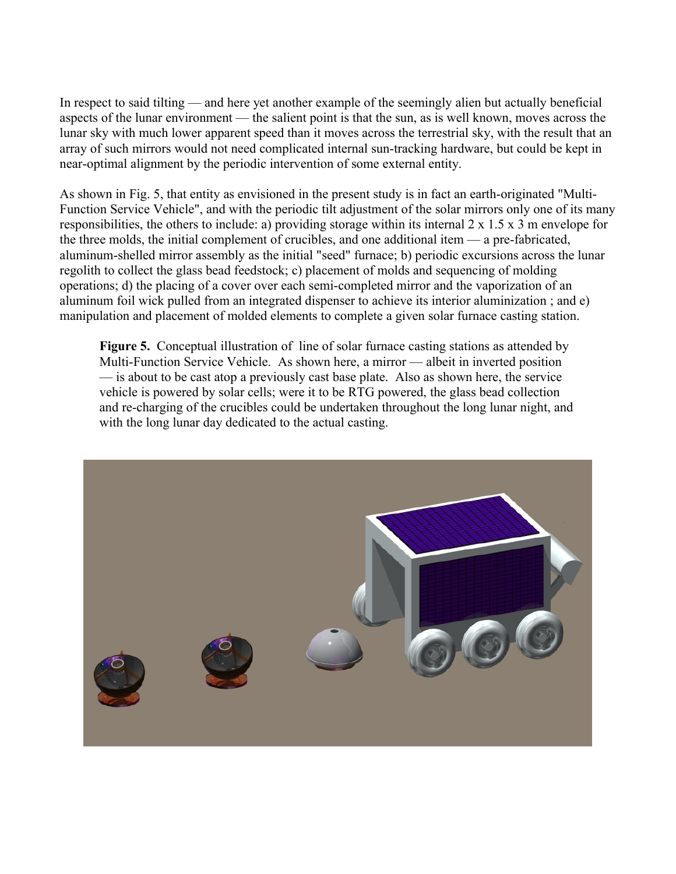In respect to said tilting — and here yet another example of the seemingly alien but actually beneficial aspects of the lunar environment — the salient point is that the sun, as is well known, moves across the lunar sky with much lower apparent speed than it moves across the terrestrial sky, with the result that an array of such mirrors would not need complicated internal sun-tracking hardware, but could be kept in near-optimal alignment by the periodic intervention of some external entity.

As shown in Fig. 5, that entity as envisioned in the present study is in fact an earth-originated "Multi-Function Service Vehicle", and with the periodic tilt adjustment of the solar mirrors only one of its many responsibilities, the others to include: a) providing storage within its internal 2 x 1.5 x 3 m envelope for the three molds, the initial complement of crucibles, and one additional item — a pre-fabricated, aluminum-shelled mirror assembly as the initial "seed" furnace; b) periodic excursions across the lunar regolith to collect the glass bead feedstock; c) placement of molds and sequencing of molding operations; d) the placing of a cover over each semi-completed mirror and the vaporization of an aluminum foil wick pulled from an integrated dispenser to achieve its interior aluminization ; and e) manipulation and placement of molded elements to complete a given solar furnace casting station.

**Figure 5.** Conceptual illustration of line of solar furnace casting stations as attended by Multi-Function Service Vehicle. As shown here, a mirror — albeit in inverted position — is about to be cast atop a previously cast base plate. Also as shown here, the service vehicle is powered by solar cells; were it to be RTG powered, the glass bead collection and re-charging of the crucibles could be undertaken throughout the long lunar night, and with the long lunar day dedicated to the actual casting.

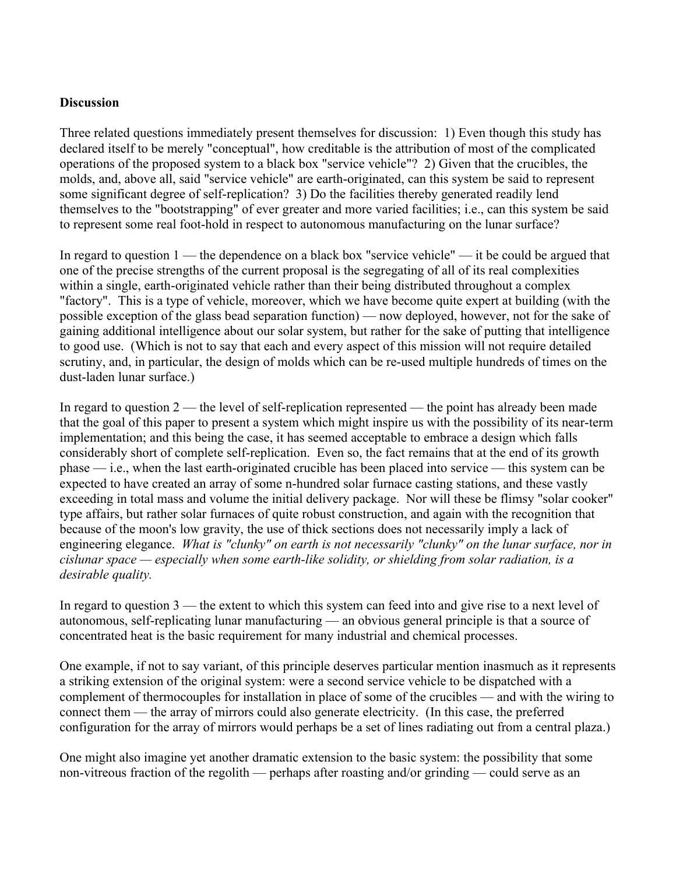#### **Discussion**

Three related questions immediately present themselves for discussion: 1) Even though this study has declared itself to be merely "conceptual", how creditable is the attribution of most of the complicated operations of the proposed system to a black box "service vehicle"? 2) Given that the crucibles, the molds, and, above all, said "service vehicle" are earth-originated, can this system be said to represent some significant degree of self-replication? 3) Do the facilities thereby generated readily lend themselves to the "bootstrapping" of ever greater and more varied facilities; i.e., can this system be said to represent some real foot-hold in respect to autonomous manufacturing on the lunar surface?

In regard to question 1 — the dependence on a black box "service vehicle" — it be could be argued that one of the precise strengths of the current proposal is the segregating of all of its real complexities within a single, earth-originated vehicle rather than their being distributed throughout a complex "factory". This is a type of vehicle, moreover, which we have become quite expert at building (with the possible exception of the glass bead separation function) — now deployed, however, not for the sake of gaining additional intelligence about our solar system, but rather for the sake of putting that intelligence to good use. (Which is not to say that each and every aspect of this mission will not require detailed scrutiny, and, in particular, the design of molds which can be re-used multiple hundreds of times on the dust-laden lunar surface.)

In regard to question 2 — the level of self-replication represented — the point has already been made that the goal of this paper to present a system which might inspire us with the possibility of its near-term implementation; and this being the case, it has seemed acceptable to embrace a design which falls considerably short of complete self-replication. Even so, the fact remains that at the end of its growth phase — i.e., when the last earth-originated crucible has been placed into service — this system can be expected to have created an array of some n-hundred solar furnace casting stations, and these vastly exceeding in total mass and volume the initial delivery package. Nor will these be flimsy "solar cooker" type affairs, but rather solar furnaces of quite robust construction, and again with the recognition that because of the moon's low gravity, the use of thick sections does not necessarily imply a lack of engineering elegance. *What is "clunky" on earth is not necessarily "clunky" on the lunar surface, nor in cislunar space — especially when some earth-like solidity, or shielding from solar radiation, is a desirable quality.*

In regard to question 3 — the extent to which this system can feed into and give rise to a next level of autonomous, self-replicating lunar manufacturing — an obvious general principle is that a source of concentrated heat is the basic requirement for many industrial and chemical processes.

One example, if not to say variant, of this principle deserves particular mention inasmuch as it represents a striking extension of the original system: were a second service vehicle to be dispatched with a complement of thermocouples for installation in place of some of the crucibles — and with the wiring to connect them — the array of mirrors could also generate electricity. (In this case, the preferred configuration for the array of mirrors would perhaps be a set of lines radiating out from a central plaza.)

One might also imagine yet another dramatic extension to the basic system: the possibility that some non-vitreous fraction of the regolith — perhaps after roasting and/or grinding — could serve as an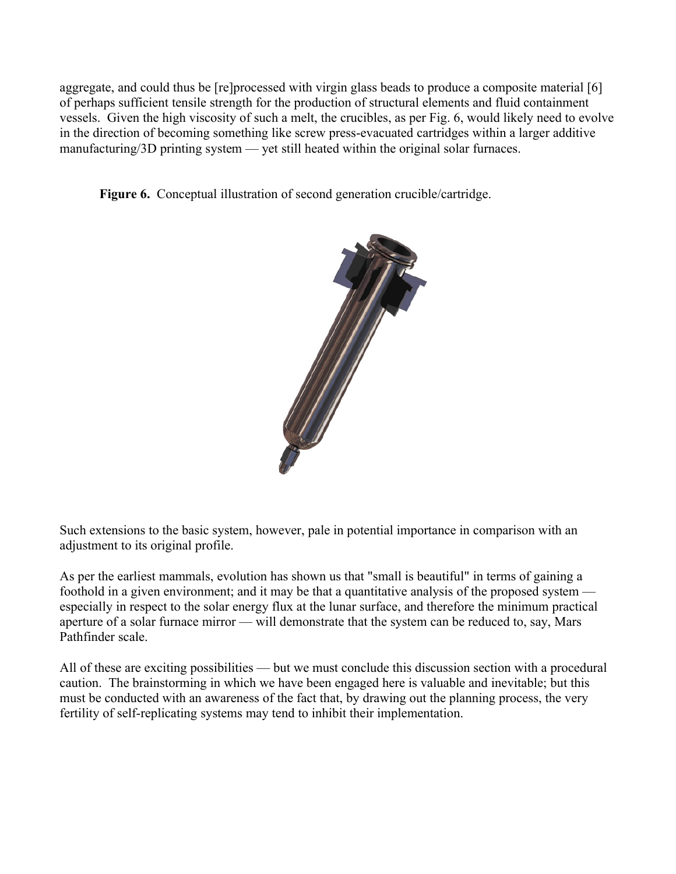aggregate, and could thus be [re]processed with virgin glass beads to produce a composite material [6] of perhaps sufficient tensile strength for the production of structural elements and fluid containment vessels. Given the high viscosity of such a melt, the crucibles, as per Fig. 6, would likely need to evolve in the direction of becoming something like screw press-evacuated cartridges within a larger additive manufacturing/3D printing system — yet still heated within the original solar furnaces.

**Figure 6.** Conceptual illustration of second generation crucible/cartridge.



Such extensions to the basic system, however, pale in potential importance in comparison with an adjustment to its original profile.

As per the earliest mammals, evolution has shown us that "small is beautiful" in terms of gaining a foothold in a given environment; and it may be that a quantitative analysis of the proposed system especially in respect to the solar energy flux at the lunar surface, and therefore the minimum practical aperture of a solar furnace mirror — will demonstrate that the system can be reduced to, say, Mars Pathfinder scale.

All of these are exciting possibilities — but we must conclude this discussion section with a procedural caution. The brainstorming in which we have been engaged here is valuable and inevitable; but this must be conducted with an awareness of the fact that, by drawing out the planning process, the very fertility of self-replicating systems may tend to inhibit their implementation.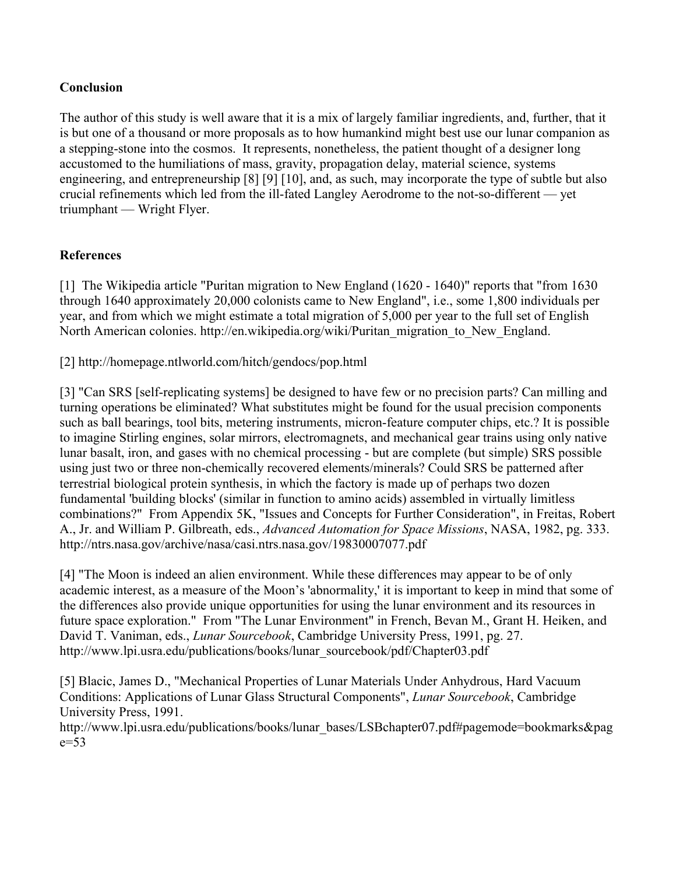### **Conclusion**

The author of this study is well aware that it is a mix of largely familiar ingredients, and, further, that it is but one of a thousand or more proposals as to how humankind might best use our lunar companion as a stepping-stone into the cosmos. It represents, nonetheless, the patient thought of a designer long accustomed to the humiliations of mass, gravity, propagation delay, material science, systems engineering, and entrepreneurship [8] [9] [10], and, as such, may incorporate the type of subtle but also crucial refinements which led from the ill-fated Langley Aerodrome to the not-so-different — yet triumphant — Wright Flyer.

## **References**

[1] The Wikipedia article "Puritan migration to New England (1620 - 1640)" reports that "from 1630 through 1640 approximately 20,000 colonists came to New England", i.e., some 1,800 individuals per year, and from which we might estimate a total migration of 5,000 per year to the full set of English North American colonies. http://en.wikipedia.org/wiki/Puritan\_migration\_to\_New\_England.

[2] http://homepage.ntlworld.com/hitch/gendocs/pop.html

[3] "Can SRS [self-replicating systems] be designed to have few or no precision parts? Can milling and turning operations be eliminated? What substitutes might be found for the usual precision components such as ball bearings, tool bits, metering instruments, micron-feature computer chips, etc.? It is possible to imagine Stirling engines, solar mirrors, electromagnets, and mechanical gear trains using only native lunar basalt, iron, and gases with no chemical processing - but are complete (but simple) SRS possible using just two or three non-chemically recovered elements/minerals? Could SRS be patterned after terrestrial biological protein synthesis, in which the factory is made up of perhaps two dozen fundamental 'building blocks' (similar in function to amino acids) assembled in virtually limitless combinations?" From Appendix 5K, "Issues and Concepts for Further Consideration", in Freitas, Robert A., Jr. and William P. Gilbreath, eds., *Advanced Automation for Space Missions*, NASA, 1982, pg. 333. http://ntrs.nasa.gov/archive/nasa/casi.ntrs.nasa.gov/19830007077.pdf

[4] "The Moon is indeed an alien environment. While these differences may appear to be of only academic interest, as a measure of the Moon's 'abnormality,' it is important to keep in mind that some of the differences also provide unique opportunities for using the lunar environment and its resources in future space exploration." From "The Lunar Environment" in French, Bevan M., Grant H. Heiken, and David T. Vaniman, eds., *Lunar Sourcebook*, Cambridge University Press, 1991, pg. 27. http://www.lpi.usra.edu/publications/books/lunar\_sourcebook/pdf/Chapter03.pdf

[5] Blacic, James D., "Mechanical Properties of Lunar Materials Under Anhydrous, Hard Vacuum Conditions: Applications of Lunar Glass Structural Components", *Lunar Sourcebook*, Cambridge University Press, 1991.

http://www.lpi.usra.edu/publications/books/lunar\_bases/LSBchapter07.pdf#pagemode=bookmarks&pag e=53